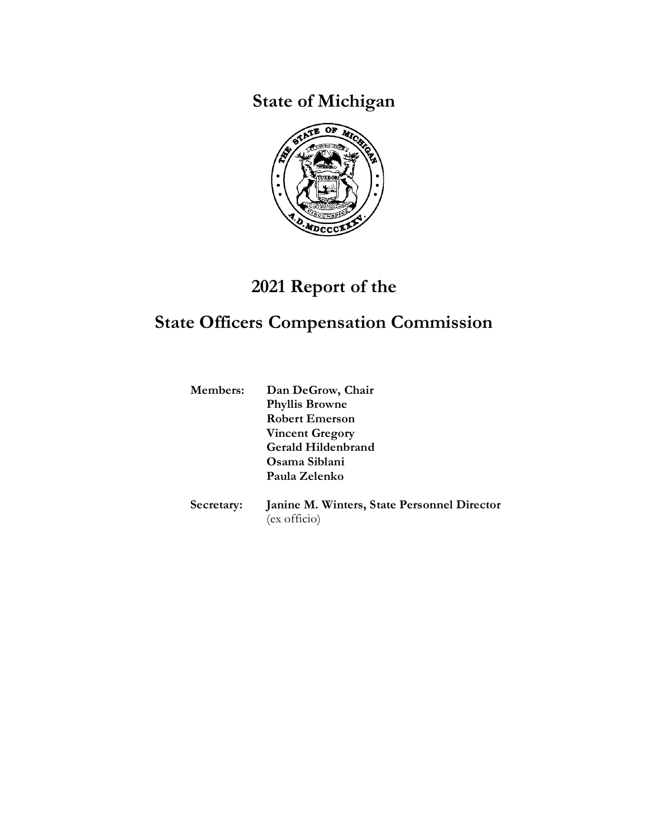**State of Michigan**



# **2021 Report of the**

# **State Officers Compensation Commission**

| <b>Members:</b> | Dan DeGrow, Chair                           |
|-----------------|---------------------------------------------|
|                 | <b>Phyllis Browne</b>                       |
|                 | <b>Robert Emerson</b>                       |
|                 | <b>Vincent Gregory</b>                      |
|                 | Gerald Hildenbrand                          |
|                 | Osama Siblani                               |
|                 | Paula Zelenko                               |
| Secretary:      | Janine M. Winters, State Personnel Director |
|                 | (ex officio)                                |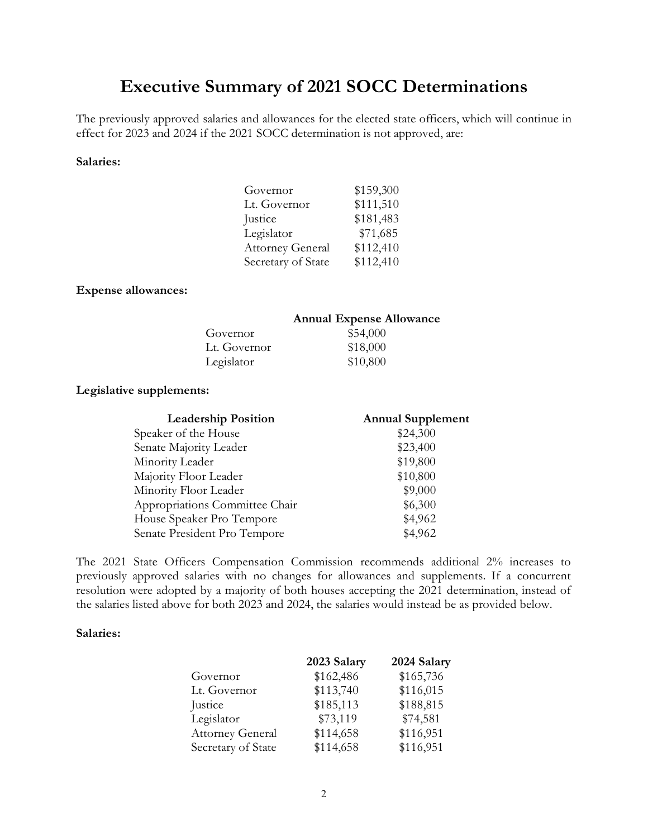## **Executive Summary of 2021 SOCC Determinations**

The previously approved salaries and allowances for the elected state officers, which will continue in effect for 2023 and 2024 if the 2021 SOCC determination is not approved, are:

#### **Salaries:**

| Governor                | \$159,300 |
|-------------------------|-----------|
| Lt. Governor            | \$111,510 |
| Justice                 | \$181,483 |
| Legislator              | \$71,685  |
| <b>Attorney General</b> | \$112,410 |
| Secretary of State      | \$112,410 |

### **Expense allowances:**

|              | <b>Annual Expense Allowance</b> |  |
|--------------|---------------------------------|--|
| Governor     | \$54,000                        |  |
| Lt. Governor | \$18,000                        |  |
| Legislator   | \$10,800                        |  |

### **Legislative supplements:**

| <b>Leadership Position</b>     | <b>Annual Supplement</b> |
|--------------------------------|--------------------------|
| Speaker of the House           | \$24,300                 |
| Senate Majority Leader         | \$23,400                 |
| Minority Leader                | \$19,800                 |
| Majority Floor Leader          | \$10,800                 |
| Minority Floor Leader          | \$9,000                  |
| Appropriations Committee Chair | \$6,300                  |
| House Speaker Pro Tempore      | \$4,962                  |
| Senate President Pro Tempore   | \$4,962                  |

The 2021 State Officers Compensation Commission recommends additional 2% increases to previously approved salaries with no changes for allowances and supplements. If a concurrent resolution were adopted by a majority of both houses accepting the 2021 determination, instead of the salaries listed above for both 2023 and 2024, the salaries would instead be as provided below.

#### **Salaries:**

|                         | 2023 Salary | 2024 Salary |
|-------------------------|-------------|-------------|
| Governor                | \$162,486   | \$165,736   |
| Lt. Governor            | \$113,740   | \$116,015   |
| Justice                 | \$185,113   | \$188,815   |
| Legislator              | \$73,119    | \$74,581    |
| <b>Attorney General</b> | \$114,658   | \$116,951   |
| Secretary of State      | \$114,658   | \$116,951   |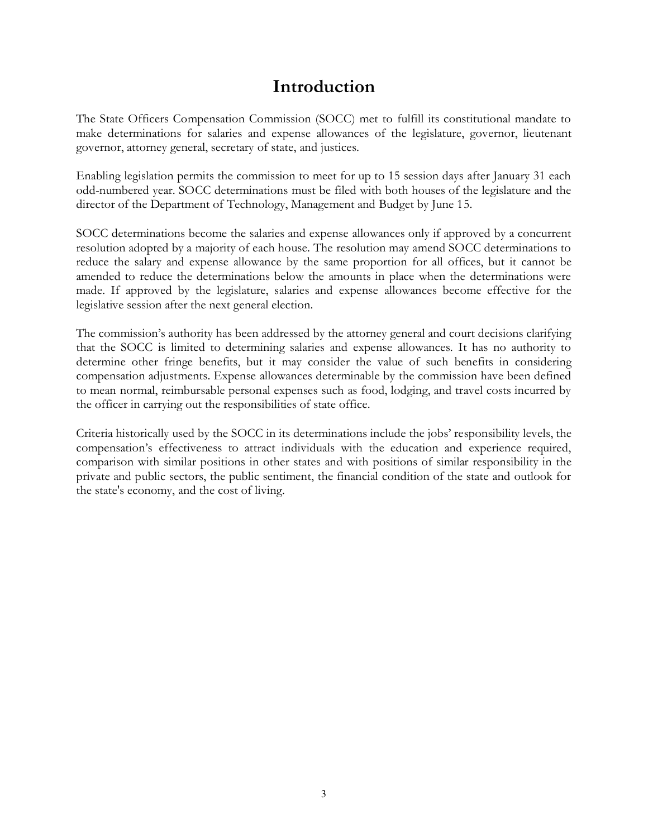## **Introduction**

The State Officers Compensation Commission (SOCC) met to fulfill its constitutional mandate to make determinations for salaries and expense allowances of the legislature, governor, lieutenant governor, attorney general, secretary of state, and justices.

Enabling legislation permits the commission to meet for up to 15 session days after January 31 each odd-numbered year. SOCC determinations must be filed with both houses of the legislature and the director of the Department of Technology, Management and Budget by June 15.

SOCC determinations become the salaries and expense allowances only if approved by a concurrent resolution adopted by a majority of each house. The resolution may amend SOCC determinations to reduce the salary and expense allowance by the same proportion for all offices, but it cannot be amended to reduce the determinations below the amounts in place when the determinations were made. If approved by the legislature, salaries and expense allowances become effective for the legislative session after the next general election.

The commission's authority has been addressed by the attorney general and court decisions clarifying that the SOCC is limited to determining salaries and expense allowances. It has no authority to determine other fringe benefits, but it may consider the value of such benefits in considering compensation adjustments. Expense allowances determinable by the commission have been defined to mean normal, reimbursable personal expenses such as food, lodging, and travel costs incurred by the officer in carrying out the responsibilities of state office.

Criteria historically used by the SOCC in its determinations include the jobs' responsibility levels, the compensation's effectiveness to attract individuals with the education and experience required, comparison with similar positions in other states and with positions of similar responsibility in the private and public sectors, the public sentiment, the financial condition of the state and outlook for the state's economy, and the cost of living.